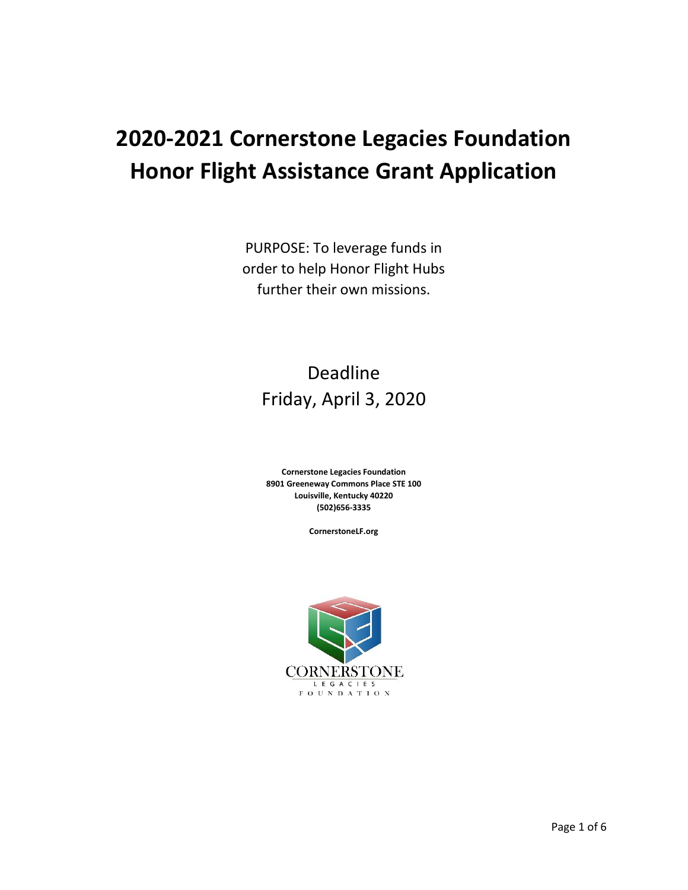# **2020-2021 Cornerstone Legacies Foundation Honor Flight Assistance Grant Application**

PURPOSE: To leverage funds in order to help Honor Flight Hubs further their own missions.

## Deadline Friday, April 3, 2020

**Cornerstone Legacies Foundation 8901 Greeneway Commons Place STE 100 Louisville, Kentucky 40220 (502)656-3335**

**CornerstoneLF.org**

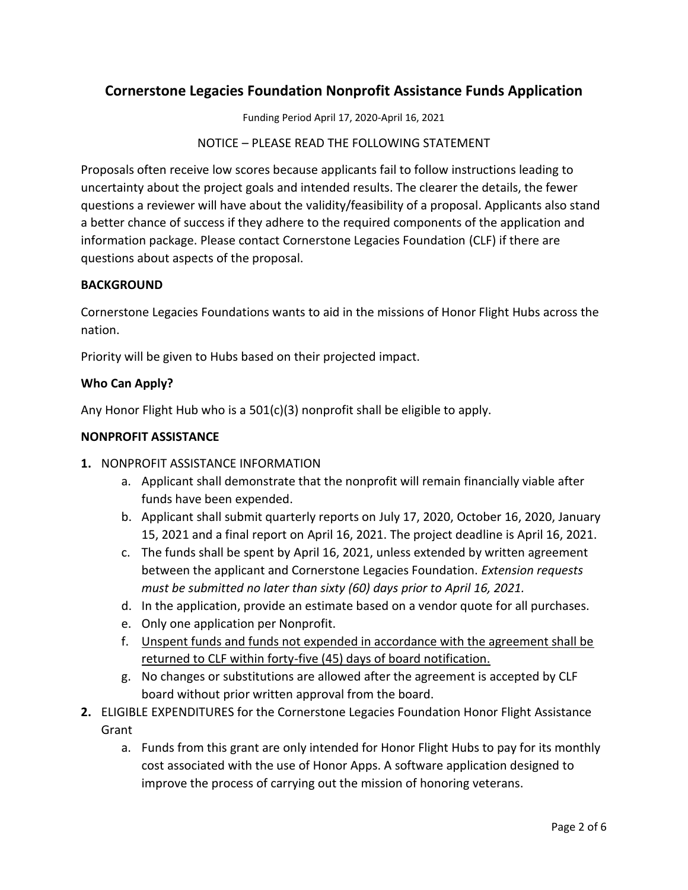### **Cornerstone Legacies Foundation Nonprofit Assistance Funds Application**

Funding Period April 17, 2020-April 16, 2021

NOTICE – PLEASE READ THE FOLLOWING STATEMENT

Proposals often receive low scores because applicants fail to follow instructions leading to uncertainty about the project goals and intended results. The clearer the details, the fewer questions a reviewer will have about the validity/feasibility of a proposal. Applicants also stand a better chance of success if they adhere to the required components of the application and information package. Please contact Cornerstone Legacies Foundation (CLF) if there are questions about aspects of the proposal.

#### **BACKGROUND**

Cornerstone Legacies Foundations wants to aid in the missions of Honor Flight Hubs across the nation.

Priority will be given to Hubs based on their projected impact.

#### **Who Can Apply?**

Any Honor Flight Hub who is a 501(c)(3) nonprofit shall be eligible to apply.

#### **NONPROFIT ASSISTANCE**

#### **1.** NONPROFIT ASSISTANCE INFORMATION

- a. Applicant shall demonstrate that the nonprofit will remain financially viable after funds have been expended.
- b. Applicant shall submit quarterly reports on July 17, 2020, October 16, 2020, January 15, 2021 and a final report on April 16, 2021. The project deadline is April 16, 2021.
- c. The funds shall be spent by April 16, 2021, unless extended by written agreement between the applicant and Cornerstone Legacies Foundation. *Extension requests must be submitted no later than sixty (60) days prior to April 16, 2021.*
- d. In the application, provide an estimate based on a vendor quote for all purchases.
- e. Only one application per Nonprofit.
- f. Unspent funds and funds not expended in accordance with the agreement shall be returned to CLF within forty-five (45) days of board notification.
- g. No changes or substitutions are allowed after the agreement is accepted by CLF board without prior written approval from the board.
- **2.** ELIGIBLE EXPENDITURES for the Cornerstone Legacies Foundation Honor Flight Assistance Grant
	- a. Funds from this grant are only intended for Honor Flight Hubs to pay for its monthly cost associated with the use of Honor Apps. A software application designed to improve the process of carrying out the mission of honoring veterans.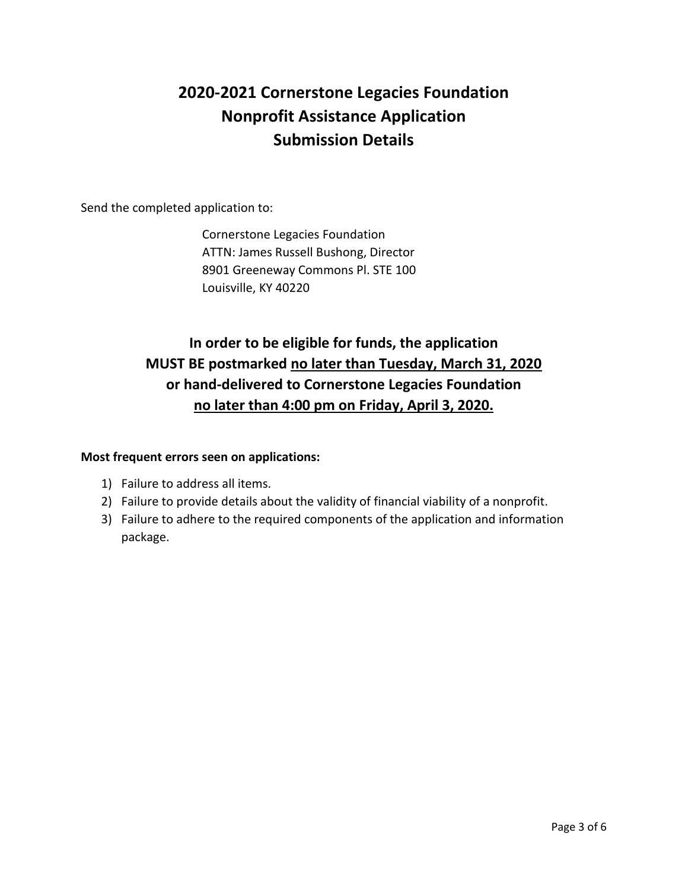## **2020-2021 Cornerstone Legacies Foundation Nonprofit Assistance Application Submission Details**

Send the completed application to:

Cornerstone Legacies Foundation ATTN: James Russell Bushong, Director 8901 Greeneway Commons Pl. STE 100 Louisville, KY 40220

## **In order to be eligible for funds, the application MUST BE postmarked no later than Tuesday, March 31, 2020 or hand-delivered to Cornerstone Legacies Foundation no later than 4:00 pm on Friday, April 3, 2020.**

#### **Most frequent errors seen on applications:**

- 1) Failure to address all items.
- 2) Failure to provide details about the validity of financial viability of a nonprofit.
- 3) Failure to adhere to the required components of the application and information package.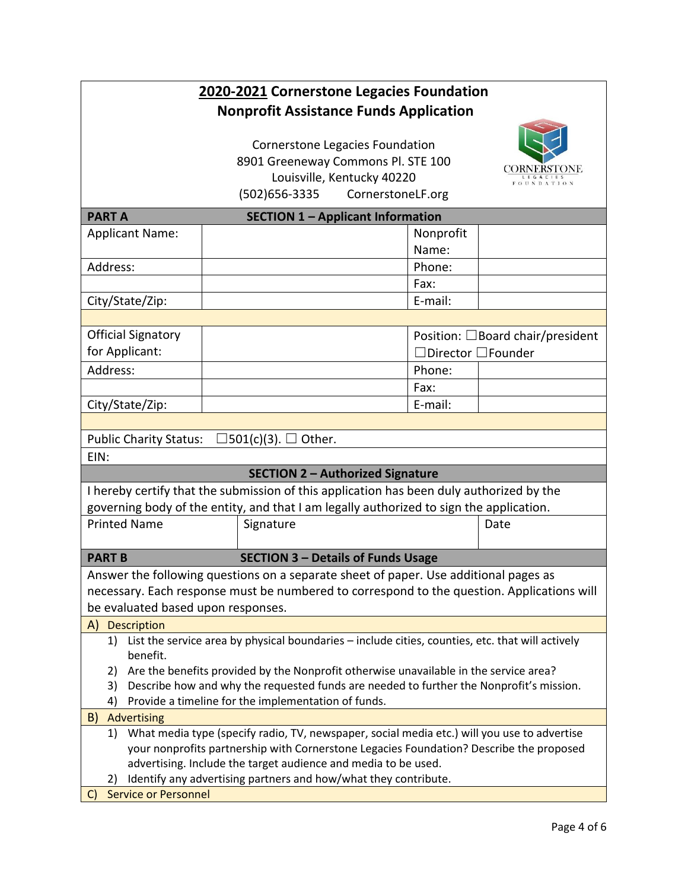|                                                                                                   |                                    | 2020-2021 Cornerstone Legacies Foundation                                                           |                   |                                                                                            |  |  |
|---------------------------------------------------------------------------------------------------|------------------------------------|-----------------------------------------------------------------------------------------------------|-------------------|--------------------------------------------------------------------------------------------|--|--|
|                                                                                                   |                                    | <b>Nonprofit Assistance Funds Application</b>                                                       |                   |                                                                                            |  |  |
|                                                                                                   |                                    |                                                                                                     |                   |                                                                                            |  |  |
|                                                                                                   | Cornerstone Legacies Foundation    |                                                                                                     |                   |                                                                                            |  |  |
|                                                                                                   | 8901 Greeneway Commons Pl. STE 100 |                                                                                                     |                   |                                                                                            |  |  |
|                                                                                                   |                                    | Louisville, Kentucky 40220                                                                          |                   | <b>FOUNDATION</b>                                                                          |  |  |
|                                                                                                   |                                    | (502) 656-3335                                                                                      | CornerstoneLF.org |                                                                                            |  |  |
| <b>SECTION 1 - Applicant Information</b><br><b>PARTA</b>                                          |                                    |                                                                                                     |                   |                                                                                            |  |  |
| <b>Applicant Name:</b>                                                                            |                                    |                                                                                                     | Nonprofit         |                                                                                            |  |  |
|                                                                                                   |                                    |                                                                                                     | Name:             |                                                                                            |  |  |
| Address:                                                                                          |                                    |                                                                                                     | Phone:            |                                                                                            |  |  |
|                                                                                                   |                                    |                                                                                                     | Fax:              |                                                                                            |  |  |
| City/State/Zip:                                                                                   |                                    |                                                                                                     | E-mail:           |                                                                                            |  |  |
|                                                                                                   |                                    |                                                                                                     |                   |                                                                                            |  |  |
| <b>Official Signatory</b>                                                                         |                                    |                                                                                                     |                   | Position: □Board chair/president                                                           |  |  |
| for Applicant:                                                                                    |                                    |                                                                                                     |                   | $ $ Director $\Box$ Founder                                                                |  |  |
| Address:                                                                                          |                                    |                                                                                                     | Phone:            |                                                                                            |  |  |
|                                                                                                   |                                    |                                                                                                     | Fax:              |                                                                                            |  |  |
| City/State/Zip:                                                                                   |                                    |                                                                                                     | E-mail:           |                                                                                            |  |  |
|                                                                                                   |                                    |                                                                                                     |                   |                                                                                            |  |  |
| <b>Public Charity Status:</b>                                                                     |                                    | $\exists$ 501(c)(3). $\Box$ Other.                                                                  |                   |                                                                                            |  |  |
| EIN:                                                                                              |                                    |                                                                                                     |                   |                                                                                            |  |  |
|                                                                                                   |                                    | <b>SECTION 2 - Authorized Signature</b>                                                             |                   |                                                                                            |  |  |
| I hereby certify that the submission of this application has been duly authorized by the          |                                    |                                                                                                     |                   |                                                                                            |  |  |
| governing body of the entity, and that I am legally authorized to sign the application.           |                                    |                                                                                                     |                   |                                                                                            |  |  |
| <b>Printed Name</b>                                                                               | Signature                          |                                                                                                     |                   | Date                                                                                       |  |  |
|                                                                                                   |                                    |                                                                                                     |                   |                                                                                            |  |  |
| <b>SECTION 3 - Details of Funds Usage</b><br><b>PART B</b>                                        |                                    |                                                                                                     |                   |                                                                                            |  |  |
| Answer the following questions on a separate sheet of paper. Use additional pages as              |                                    |                                                                                                     |                   |                                                                                            |  |  |
|                                                                                                   |                                    |                                                                                                     |                   | necessary. Each response must be numbered to correspond to the question. Applications will |  |  |
| be evaluated based upon responses.                                                                |                                    |                                                                                                     |                   |                                                                                            |  |  |
| Description<br>A)                                                                                 |                                    |                                                                                                     |                   |                                                                                            |  |  |
| benefit.                                                                                          |                                    | 1) List the service area by physical boundaries - include cities, counties, etc. that will actively |                   |                                                                                            |  |  |
| Are the benefits provided by the Nonprofit otherwise unavailable in the service area?<br>2)       |                                    |                                                                                                     |                   |                                                                                            |  |  |
| Describe how and why the requested funds are needed to further the Nonprofit's mission.<br>3)     |                                    |                                                                                                     |                   |                                                                                            |  |  |
| Provide a timeline for the implementation of funds.<br>4)                                         |                                    |                                                                                                     |                   |                                                                                            |  |  |
| Advertising<br>B)                                                                                 |                                    |                                                                                                     |                   |                                                                                            |  |  |
| What media type (specify radio, TV, newspaper, social media etc.) will you use to advertise<br>1) |                                    |                                                                                                     |                   |                                                                                            |  |  |
| your nonprofits partnership with Cornerstone Legacies Foundation? Describe the proposed           |                                    |                                                                                                     |                   |                                                                                            |  |  |
| advertising. Include the target audience and media to be used.                                    |                                    |                                                                                                     |                   |                                                                                            |  |  |
| Identify any advertising partners and how/what they contribute.<br>2)                             |                                    |                                                                                                     |                   |                                                                                            |  |  |
| <b>Service or Personnel</b><br>C)                                                                 |                                    |                                                                                                     |                   |                                                                                            |  |  |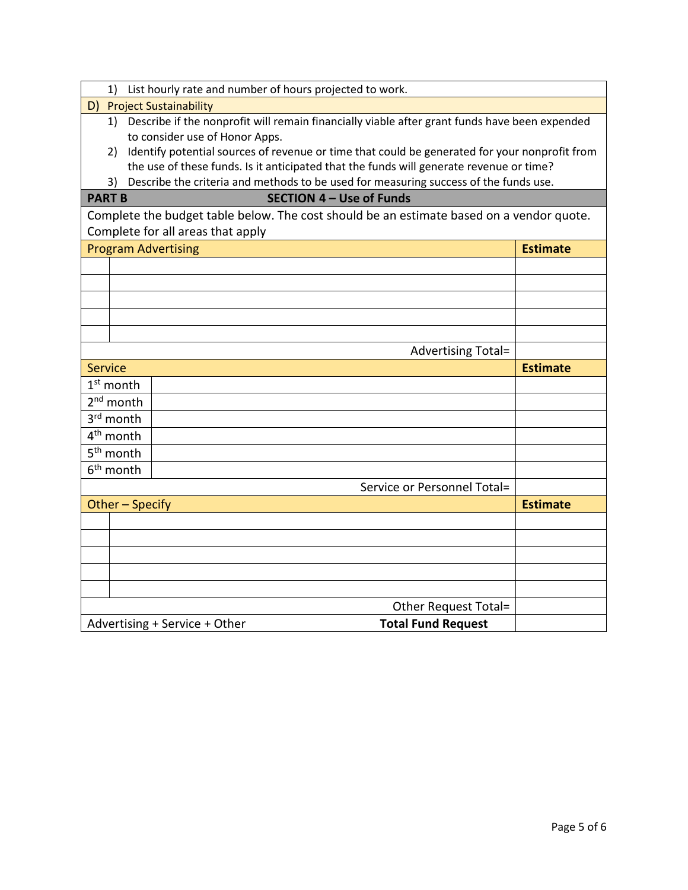| 1)                         | List hourly rate and number of hours projected to work.                                       |                 |  |  |  |
|----------------------------|-----------------------------------------------------------------------------------------------|-----------------|--|--|--|
| D)                         | <b>Project Sustainability</b>                                                                 |                 |  |  |  |
| 1)                         | Describe if the nonprofit will remain financially viable after grant funds have been expended |                 |  |  |  |
|                            | to consider use of Honor Apps.                                                                |                 |  |  |  |
| 2)                         | Identify potential sources of revenue or time that could be generated for your nonprofit from |                 |  |  |  |
|                            | the use of these funds. Is it anticipated that the funds will generate revenue or time?       |                 |  |  |  |
| 3)                         | Describe the criteria and methods to be used for measuring success of the funds use.          |                 |  |  |  |
|                            | <b>SECTION 4 - Use of Funds</b><br><b>PART B</b>                                              |                 |  |  |  |
|                            | Complete the budget table below. The cost should be an estimate based on a vendor quote.      |                 |  |  |  |
|                            | Complete for all areas that apply                                                             |                 |  |  |  |
| <b>Program Advertising</b> |                                                                                               | <b>Estimate</b> |  |  |  |
|                            |                                                                                               |                 |  |  |  |
|                            |                                                                                               |                 |  |  |  |
|                            |                                                                                               |                 |  |  |  |
|                            |                                                                                               |                 |  |  |  |
|                            |                                                                                               |                 |  |  |  |
|                            | Advertising Total=                                                                            |                 |  |  |  |
| <b>Service</b>             |                                                                                               | <b>Estimate</b> |  |  |  |
| $1st$ month                |                                                                                               |                 |  |  |  |
| $2nd$ month                |                                                                                               |                 |  |  |  |
| 3rd month                  |                                                                                               |                 |  |  |  |
| 4 <sup>th</sup> month      |                                                                                               |                 |  |  |  |
| 5 <sup>th</sup> month      |                                                                                               |                 |  |  |  |
| 6 <sup>th</sup> month      |                                                                                               |                 |  |  |  |
|                            | Service or Personnel Total=                                                                   |                 |  |  |  |
| Other - Specify            |                                                                                               | <b>Estimate</b> |  |  |  |
|                            |                                                                                               |                 |  |  |  |
|                            |                                                                                               |                 |  |  |  |
|                            |                                                                                               |                 |  |  |  |
|                            |                                                                                               |                 |  |  |  |
|                            |                                                                                               |                 |  |  |  |
|                            |                                                                                               |                 |  |  |  |
|                            | Other Request Total=                                                                          |                 |  |  |  |
|                            | <b>Total Fund Request</b><br>Advertising + Service + Other                                    |                 |  |  |  |